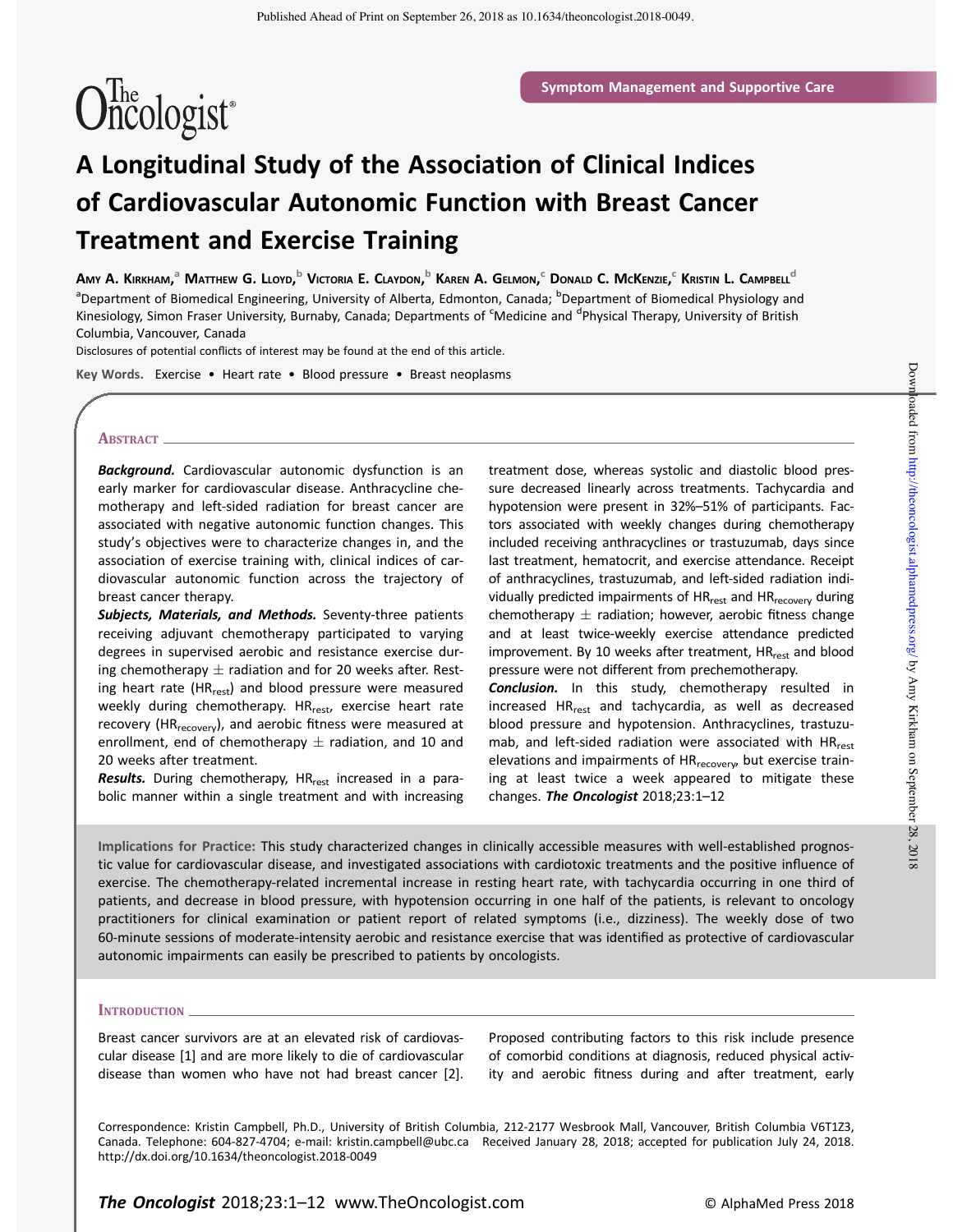# $\widehat{\text{One}}$ ologist<sup>®</sup>

# A Longitudinal Study of the Association of Clinical Indices of Cardiovascular Autonomic Function with Breast Cancer Treatment and Exercise Training

Amy A. Kirkham,<sup>a</sup> Matthew G. Lloyd,<sup>b</sup> Victoria E. Claydon,<sup>b</sup> Karen A. Gelmon,<sup>c</sup> Donald C. McKenzie,<sup>c</sup> Kristin L. Campbell<sup>d</sup> <sup>a</sup>Department of Biomedical Engineering, University of Alberta, Edmonton, Canada; <sup>b</sup>Department of Biomedical Physiology and Kinesiology, Simon Fraser University, Burnaby, Canada; Departments of <sup>c</sup>Medicine and <sup>d</sup>Physical Therapy, University of British Columbia, Vancouver, Canada

Disclosures of potential conflicts of interest may be found at the end of this article.

Key Words. Exercise • Heart rate • Blood pressure • Breast neoplasms

#### ABSTRACT.

**Background.** Cardiovascular autonomic dysfunction is an early marker for cardiovascular disease. Anthracycline chemotherapy and left-sided radiation for breast cancer are associated with negative autonomic function changes. This study's objectives were to characterize changes in, and the association of exercise training with, clinical indices of cardiovascular autonomic function across the trajectory of breast cancer therapy.

Subjects, Materials, and Methods. Seventy-three patients receiving adjuvant chemotherapy participated to varying degrees in supervised aerobic and resistance exercise during chemotherapy  $\pm$  radiation and for 20 weeks after. Resting heart rate (HR<sub>rest</sub>) and blood pressure were measured weekly during chemotherapy. HR<sub>rest</sub>, exercise heart rate recovery (HR<sub>recovery</sub>), and aerobic fitness were measured at enrollment, end of chemotherapy  $\pm$  radiation, and 10 and 20 weeks after treatment.

Results. During chemotherapy, HR<sub>rest</sub> increased in a parabolic manner within a single treatment and with increasing treatment dose, whereas systolic and diastolic blood pressure decreased linearly across treatments. Tachycardia and hypotension were present in 32%–51% of participants. Factors associated with weekly changes during chemotherapy included receiving anthracyclines or trastuzumab, days since last treatment, hematocrit, and exercise attendance. Receipt of anthracyclines, trastuzumab, and left-sided radiation individually predicted impairments of HR<sub>rest</sub> and HR<sub>recovery</sub> during chemotherapy  $\pm$  radiation; however, aerobic fitness change and at least twice-weekly exercise attendance predicted improvement. By 10 weeks after treatment, HR<sub>rest</sub> and blood pressure were not different from prechemotherapy. Conclusion. In this study, chemotherapy resulted in

increased HR<sub>rest</sub> and tachycardia, as well as decreased blood pressure and hypotension. Anthracyclines, trastuzumab, and left-sided radiation were associated with HR<sub>rest</sub> elevations and impairments of HR<sub>recovery</sub>, but exercise training at least twice a week appeared to mitigate these changes. The Oncologist  $2018;23:1-12$ 

Implications for Practice: This study characterized changes in clinically accessible measures with well-established prognostic value for cardiovascular disease, and investigated associations with cardiotoxic treatments and the positive influence of exercise. The chemotherapy-related incremental increase in resting heart rate, with tachycardia occurring in one third of patients, and decrease in blood pressure, with hypotension occurring in one half of the patients, is relevant to oncology practitioners for clinical examination or patient report of related symptoms (i.e., dizziness). The weekly dose of two 60-minute sessions of moderate-intensity aerobic and resistance exercise that was identified as protective of cardiovascular autonomic impairments can easily be prescribed to patients by oncologists.

#### **INTRODUCTION**

Breast cancer survivors are at an elevated risk of cardiovascular disease [1] and are more likely to die of cardiovascular disease than women who have not had breast cancer [2].

Proposed contributing factors to this risk include presence of comorbid conditions at diagnosis, reduced physical activity and aerobic fitness during and after treatment, early

Correspondence: Kristin Campbell, Ph.D., University of British Columbia, 212-2177 Wesbrook Mall, Vancouver, British Columbia V6T1Z3, Canada. Telephone: 604-827-4704; e-mail: kristin.campbell@ubc.ca Received January 28, 2018; accepted for publication July 24, 2018. http://dx.doi.org/10.1634/theoncologist.2018-0049

Downloaded from http://theoncologist.alphamedpress.org/ by Amy Kirkham on September 28, 2018  $D$ ownloaded from http://theoncologist.alphamedpress.org/ Dy Amy Kirkham on September 28, 2018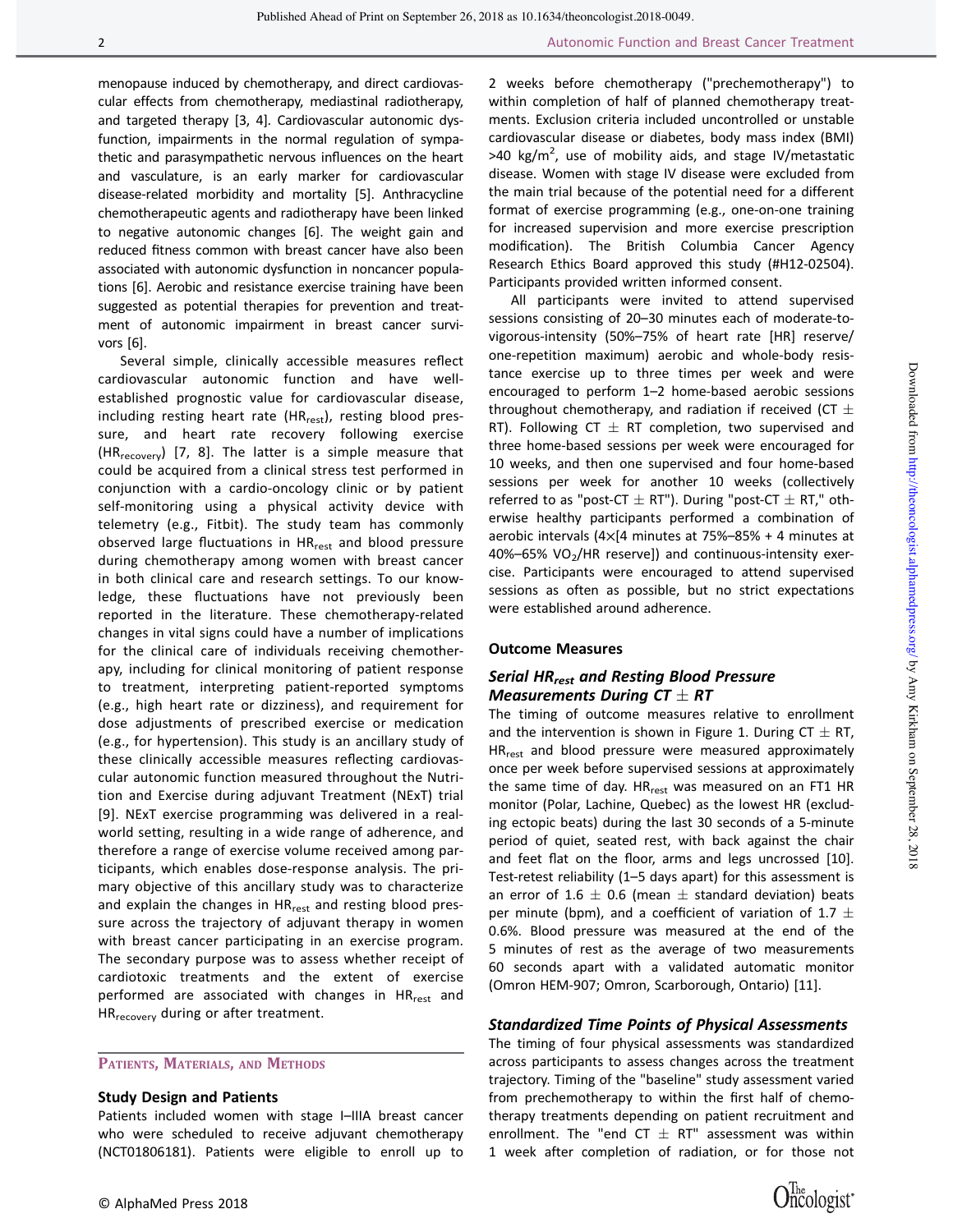menopause induced by chemotherapy, and direct cardiovascular effects from chemotherapy, mediastinal radiotherapy, and targeted therapy [3, 4]. Cardiovascular autonomic dysfunction, impairments in the normal regulation of sympathetic and parasympathetic nervous influences on the heart and vasculature, is an early marker for cardiovascular disease-related morbidity and mortality [5]. Anthracycline chemotherapeutic agents and radiotherapy have been linked to negative autonomic changes [6]. The weight gain and reduced fitness common with breast cancer have also been associated with autonomic dysfunction in noncancer populations [6]. Aerobic and resistance exercise training have been suggested as potential therapies for prevention and treatment of autonomic impairment in breast cancer survivors [6].

Several simple, clinically accessible measures reflect cardiovascular autonomic function and have wellestablished prognostic value for cardiovascular disease, including resting heart rate (HR<sub>rest</sub>), resting blood pressure, and heart rate recovery following exercise (HR<sub>recovery</sub>) [7, 8]. The latter is a simple measure that could be acquired from a clinical stress test performed in conjunction with a cardio-oncology clinic or by patient self-monitoring using a physical activity device with telemetry (e.g., Fitbit). The study team has commonly observed large fluctuations in HR<sub>rest</sub> and blood pressure during chemotherapy among women with breast cancer in both clinical care and research settings. To our knowledge, these fluctuations have not previously been reported in the literature. These chemotherapy-related changes in vital signs could have a number of implications for the clinical care of individuals receiving chemotherapy, including for clinical monitoring of patient response to treatment, interpreting patient-reported symptoms (e.g., high heart rate or dizziness), and requirement for dose adjustments of prescribed exercise or medication (e.g., for hypertension). This study is an ancillary study of these clinically accessible measures reflecting cardiovascular autonomic function measured throughout the Nutrition and Exercise during adjuvant Treatment (NExT) trial [9]. NExT exercise programming was delivered in a realworld setting, resulting in a wide range of adherence, and therefore a range of exercise volume received among participants, which enables dose-response analysis. The primary objective of this ancillary study was to characterize and explain the changes in HR<sub>rest</sub> and resting blood pressure across the trajectory of adjuvant therapy in women with breast cancer participating in an exercise program. The secondary purpose was to assess whether receipt of cardiotoxic treatments and the extent of exercise performed are associated with changes in HR<sub>rest</sub> and HR<sub>recovery</sub> during or after treatment.

PATIENTS, MATERIALS, AND METHODS

# Study Design and Patients

Patients included women with stage I–IIIA breast cancer who were scheduled to receive adjuvant chemotherapy (NCT01806181). Patients were eligible to enroll up to

2 weeks before chemotherapy ("prechemotherapy") to within completion of half of planned chemotherapy treatments. Exclusion criteria included uncontrolled or unstable cardiovascular disease or diabetes, body mass index (BMI) >40 kg/m<sup>2</sup>, use of mobility aids, and stage IV/metastatic disease. Women with stage IV disease were excluded from the main trial because of the potential need for a different format of exercise programming (e.g., one-on-one training for increased supervision and more exercise prescription modification). The British Columbia Cancer Agency Research Ethics Board approved this study (#H12-02504). Participants provided written informed consent.

All participants were invited to attend supervised sessions consisting of 20–30 minutes each of moderate-tovigorous-intensity (50%–75% of heart rate [HR] reserve/ one-repetition maximum) aerobic and whole-body resistance exercise up to three times per week and were encouraged to perform 1–2 home-based aerobic sessions throughout chemotherapy, and radiation if received (CT  $\pm$ RT). Following CT  $\pm$  RT completion, two supervised and three home-based sessions per week were encouraged for 10 weeks, and then one supervised and four home-based sessions per week for another 10 weeks (collectively referred to as "post-CT  $\pm$  RT"). During "post-CT  $\pm$  RT," otherwise healthy participants performed a combination of aerobic intervals ( $4\times$ [4 minutes at 75%–85% + 4 minutes at  $40\% - 65\%$  VO<sub>2</sub>/HR reserve]) and continuous-intensity exercise. Participants were encouraged to attend supervised sessions as often as possible, but no strict expectations were established around adherence.

#### Outcome Measures

# Serial HR<sub>rest</sub> and Resting Blood Pressure Measurements During CT  $\pm$  RT

The timing of outcome measures relative to enrollment and the intervention is shown in Figure 1. During CT  $\pm$  RT, HR<sub>rest</sub> and blood pressure were measured approximately once per week before supervised sessions at approximately the same time of day. HR<sub>rest</sub> was measured on an FT1 HR monitor (Polar, Lachine, Quebec) as the lowest HR (excluding ectopic beats) during the last 30 seconds of a 5-minute period of quiet, seated rest, with back against the chair and feet flat on the floor, arms and legs uncrossed [10]. Test-retest reliability (1–5 days apart) for this assessment is an error of 1.6  $\pm$  0.6 (mean  $\pm$  standard deviation) beats per minute (bpm), and a coefficient of variation of 1.7  $\pm$ 0.6%. Blood pressure was measured at the end of the 5 minutes of rest as the average of two measurements 60 seconds apart with a validated automatic monitor (Omron HEM-907; Omron, Scarborough, Ontario) [11].

#### Standardized Time Points of Physical Assessments

The timing of four physical assessments was standardized across participants to assess changes across the treatment trajectory. Timing of the "baseline" study assessment varied from prechemotherapy to within the first half of chemotherapy treatments depending on patient recruitment and enrollment. The "end CT  $\pm$  RT" assessment was within 1 week after completion of radiation, or for those not

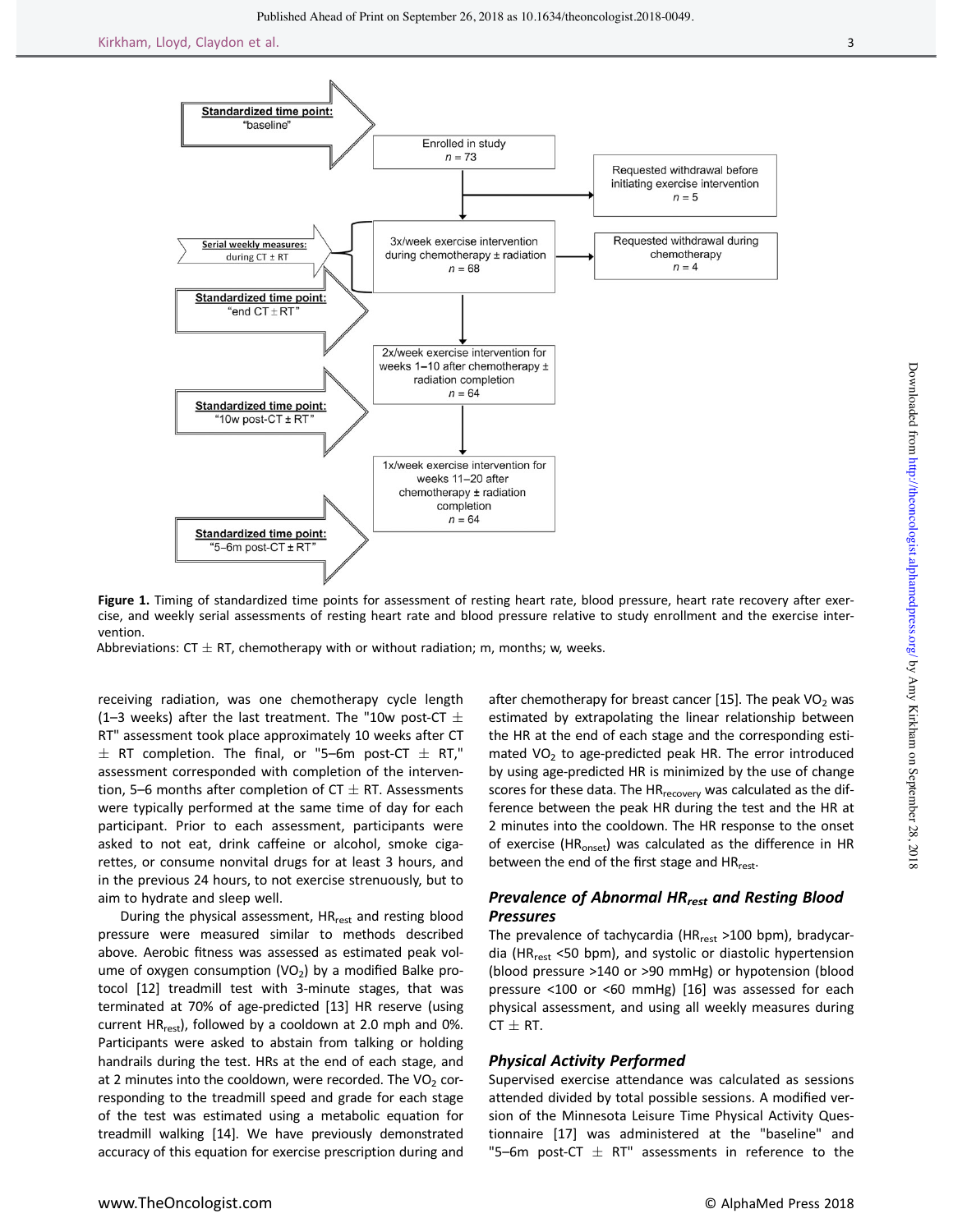

Figure 1. Timing of standardized time points for assessment of resting heart rate, blood pressure, heart rate recovery after exercise, and weekly serial assessments of resting heart rate and blood pressure relative to study enrollment and the exercise intervention.

Abbreviations:  $CT \pm RT$ , chemotherapy with or without radiation; m, months; w, weeks.

receiving radiation, was one chemotherapy cycle length (1–3 weeks) after the last treatment. The "10w post-CT  $\pm$ RT" assessment took place approximately 10 weeks after CT  $\pm$  RT completion. The final, or "5–6m post-CT  $\pm$  RT," assessment corresponded with completion of the intervention, 5–6 months after completion of  $CT \pm RT$ . Assessments were typically performed at the same time of day for each participant. Prior to each assessment, participants were asked to not eat, drink caffeine or alcohol, smoke cigarettes, or consume nonvital drugs for at least 3 hours, and in the previous 24 hours, to not exercise strenuously, but to aim to hydrate and sleep well.

During the physical assessment,  $HR_{rest}$  and resting blood pressure were measured similar to methods described above. Aerobic fitness was assessed as estimated peak volume of oxygen consumption (VO<sub>2</sub>) by a modified Balke protocol [12] treadmill test with 3-minute stages, that was terminated at 70% of age-predicted [13] HR reserve (using current  $HR_{rest}$ ), followed by a cooldown at 2.0 mph and 0%. Participants were asked to abstain from talking or holding handrails during the test. HRs at the end of each stage, and at 2 minutes into the cooldown, were recorded. The VO<sub>2</sub> corresponding to the treadmill speed and grade for each stage of the test was estimated using a metabolic equation for treadmill walking [14]. We have previously demonstrated accuracy of this equation for exercise prescription during and

after chemotherapy for breast cancer [15]. The peak  $VO<sub>2</sub>$  was estimated by extrapolating the linear relationship between the HR at the end of each stage and the corresponding estimated  $VO<sub>2</sub>$  to age-predicted peak HR. The error introduced by using age-predicted HR is minimized by the use of change scores for these data. The HR<sub>recovery</sub> was calculated as the difference between the peak HR during the test and the HR at 2 minutes into the cooldown. The HR response to the onset of exercise (HR<sub>onset</sub>) was calculated as the difference in HR between the end of the first stage and HR<sub>rest</sub>.

# Prevalence of Abnormal HR<sub>rest</sub> and Resting Blood Pressures

The prevalence of tachycardia (HR $_{rest}$  >100 bpm), bradycardia (HR<sub>rest</sub> <50 bpm), and systolic or diastolic hypertension (blood pressure >140 or >90 mmHg) or hypotension (blood pressure <100 or <60 mmHg) [16] was assessed for each physical assessment, and using all weekly measures during  $CT \pm RT$ .

#### Physical Activity Performed

Supervised exercise attendance was calculated as sessions attended divided by total possible sessions. A modified version of the Minnesota Leisure Time Physical Activity Questionnaire [17] was administered at the "baseline" and "5–6m post-CT  $\pm$  RT" assessments in reference to the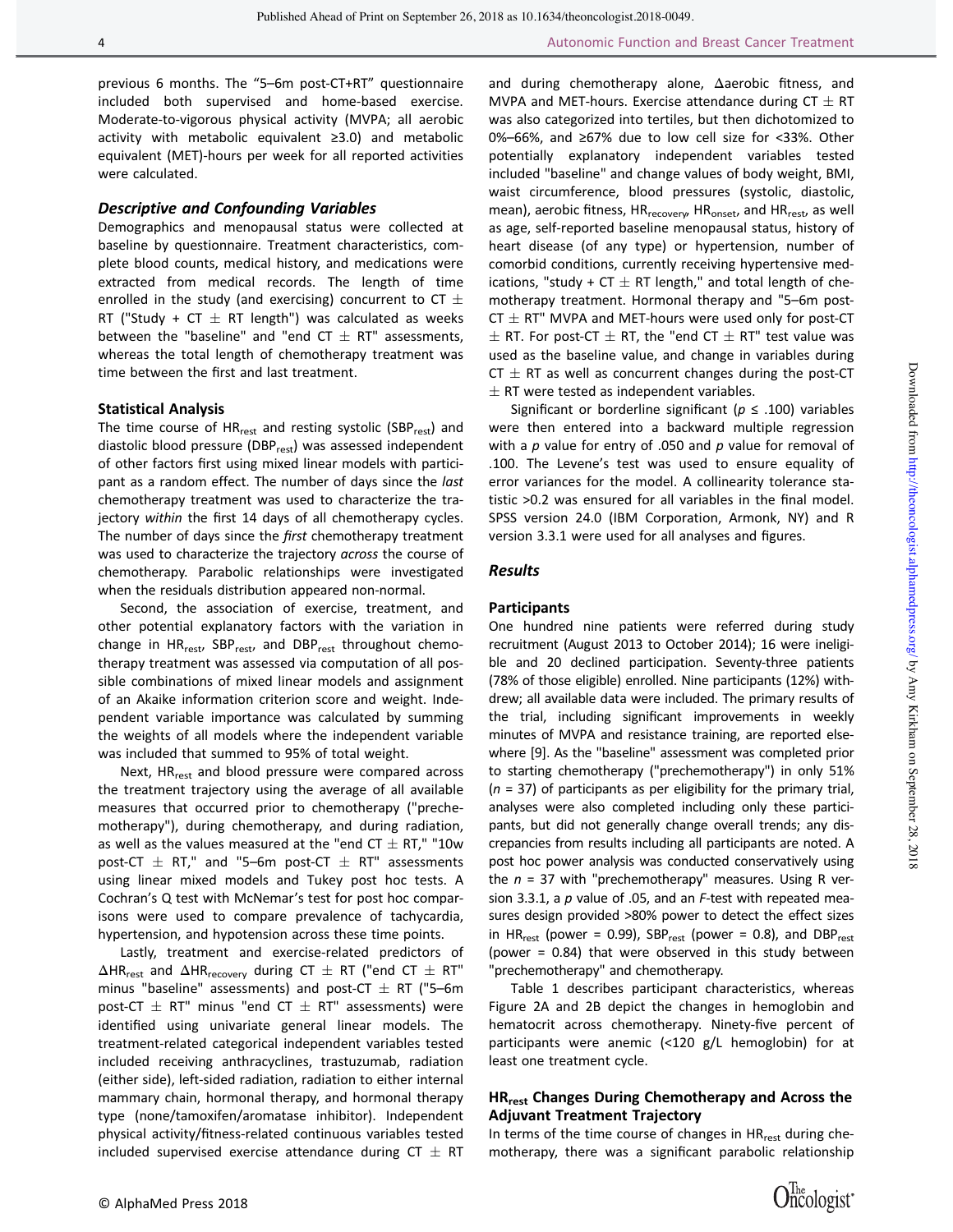previous 6 months. The "5–6m post-CT+RT" questionnaire included both supervised and home-based exercise. Moderate-to-vigorous physical activity (MVPA; all aerobic activity with metabolic equivalent ≥3.0) and metabolic equivalent (MET)-hours per week for all reported activities were calculated.

#### Descriptive and Confounding Variables

Demographics and menopausal status were collected at baseline by questionnaire. Treatment characteristics, complete blood counts, medical history, and medications were extracted from medical records. The length of time enrolled in the study (and exercising) concurrent to CT  $\pm$ RT ("Study + CT  $\pm$  RT length") was calculated as weeks between the "baseline" and "end  $CT \pm RT$ " assessments, whereas the total length of chemotherapy treatment was time between the first and last treatment.

#### Statistical Analysis

The time course of  $HR_{rest}$  and resting systolic (SBP $_{rest}$ ) and diastolic blood pressure (DBP<sub>rest</sub>) was assessed independent of other factors first using mixed linear models with participant as a random effect. The number of days since the last chemotherapy treatment was used to characterize the trajectory within the first 14 days of all chemotherapy cycles. The number of days since the first chemotherapy treatment was used to characterize the trajectory across the course of chemotherapy. Parabolic relationships were investigated when the residuals distribution appeared non-normal.

Second, the association of exercise, treatment, and other potential explanatory factors with the variation in change in HR<sub>rest</sub>, SBP<sub>rest</sub>, and DBP<sub>rest</sub> throughout chemotherapy treatment was assessed via computation of all possible combinations of mixed linear models and assignment of an Akaike information criterion score and weight. Independent variable importance was calculated by summing the weights of all models where the independent variable was included that summed to 95% of total weight.

Next, HR<sub>rest</sub> and blood pressure were compared across the treatment trajectory using the average of all available measures that occurred prior to chemotherapy ("prechemotherapy"), during chemotherapy, and during radiation, as well as the values measured at the "end CT  $\pm$  RT," "10w post-CT  $\pm$  RT," and "5–6m post-CT  $\pm$  RT" assessments using linear mixed models and Tukey post hoc tests. A Cochran's Q test with McNemar's test for post hoc comparisons were used to compare prevalence of tachycardia, hypertension, and hypotension across these time points.

Lastly, treatment and exercise-related predictors of  $\Delta$ HR<sub>rest</sub> and  $\Delta$ HR<sub>recovery</sub> during CT  $\pm$  RT ("end CT  $\pm$  RT" minus "baseline" assessments) and post-CT  $\pm$  RT ("5–6m post-CT  $\pm$  RT" minus "end CT  $\pm$  RT" assessments) were identified using univariate general linear models. The treatment-related categorical independent variables tested included receiving anthracyclines, trastuzumab, radiation (either side), left-sided radiation, radiation to either internal mammary chain, hormonal therapy, and hormonal therapy type (none/tamoxifen/aromatase inhibitor). Independent physical activity/fitness-related continuous variables tested included supervised exercise attendance during  $CT \pm RT$ 

and during chemotherapy alone, Δaerobic fitness, and MVPA and MET-hours. Exercise attendance during CT  $\pm$  RT was also categorized into tertiles, but then dichotomized to 0%–66%, and ≥67% due to low cell size for <33%. Other potentially explanatory independent variables tested included "baseline" and change values of body weight, BMI, waist circumference, blood pressures (systolic, diastolic, mean), aerobic fitness, HR<sub>recovery</sub>, HR<sub>onset</sub>, and HR<sub>rest</sub>, as well as age, self-reported baseline menopausal status, history of heart disease (of any type) or hypertension, number of comorbid conditions, currently receiving hypertensive medications, "study + CT  $\pm$  RT length," and total length of chemotherapy treatment. Hormonal therapy and "5–6m post- $CT \pm RT$ " MVPA and MET-hours were used only for post-CT  $\pm$  RT. For post-CT  $\pm$  RT, the "end CT  $\pm$  RT" test value was used as the baseline value, and change in variables during CT  $\pm$  RT as well as concurrent changes during the post-CT  $\pm$  RT were tested as independent variables.

Significant or borderline significant ( $p \leq .100$ ) variables were then entered into a backward multiple regression with a  $p$  value for entry of .050 and  $p$  value for removal of .100. The Levene's test was used to ensure equality of error variances for the model. A collinearity tolerance statistic >0.2 was ensured for all variables in the final model. SPSS version 24.0 (IBM Corporation, Armonk, NY) and R version 3.3.1 were used for all analyses and figures.

#### Results

#### **Participants**

One hundred nine patients were referred during study recruitment (August 2013 to October 2014); 16 were ineligible and 20 declined participation. Seventy-three patients (78% of those eligible) enrolled. Nine participants (12%) withdrew; all available data were included. The primary results of the trial, including significant improvements in weekly minutes of MVPA and resistance training, are reported elsewhere [9]. As the "baseline" assessment was completed prior to starting chemotherapy ("prechemotherapy") in only 51%  $(n = 37)$  of participants as per eligibility for the primary trial, analyses were also completed including only these participants, but did not generally change overall trends; any discrepancies from results including all participants are noted. A post hoc power analysis was conducted conservatively using the  $n = 37$  with "prechemotherapy" measures. Using R version 3.3.1, a  $p$  value of .05, and an  $F$ -test with repeated measures design provided >80% power to detect the effect sizes in HR<sub>rest</sub> (power = 0.99), SBP<sub>rest</sub> (power = 0.8), and DBP<sub>rest</sub> (power = 0.84) that were observed in this study between "prechemotherapy" and chemotherapy.

Table 1 describes participant characteristics, whereas Figure 2A and 2B depict the changes in hemoglobin and hematocrit across chemotherapy. Ninety-five percent of participants were anemic (<120 g/L hemoglobin) for at least one treatment cycle.

# HR<sub>rest</sub> Changes During Chemotherapy and Across the Adjuvant Treatment Trajectory

In terms of the time course of changes in HR<sub>rest</sub> during chemotherapy, there was a significant parabolic relationship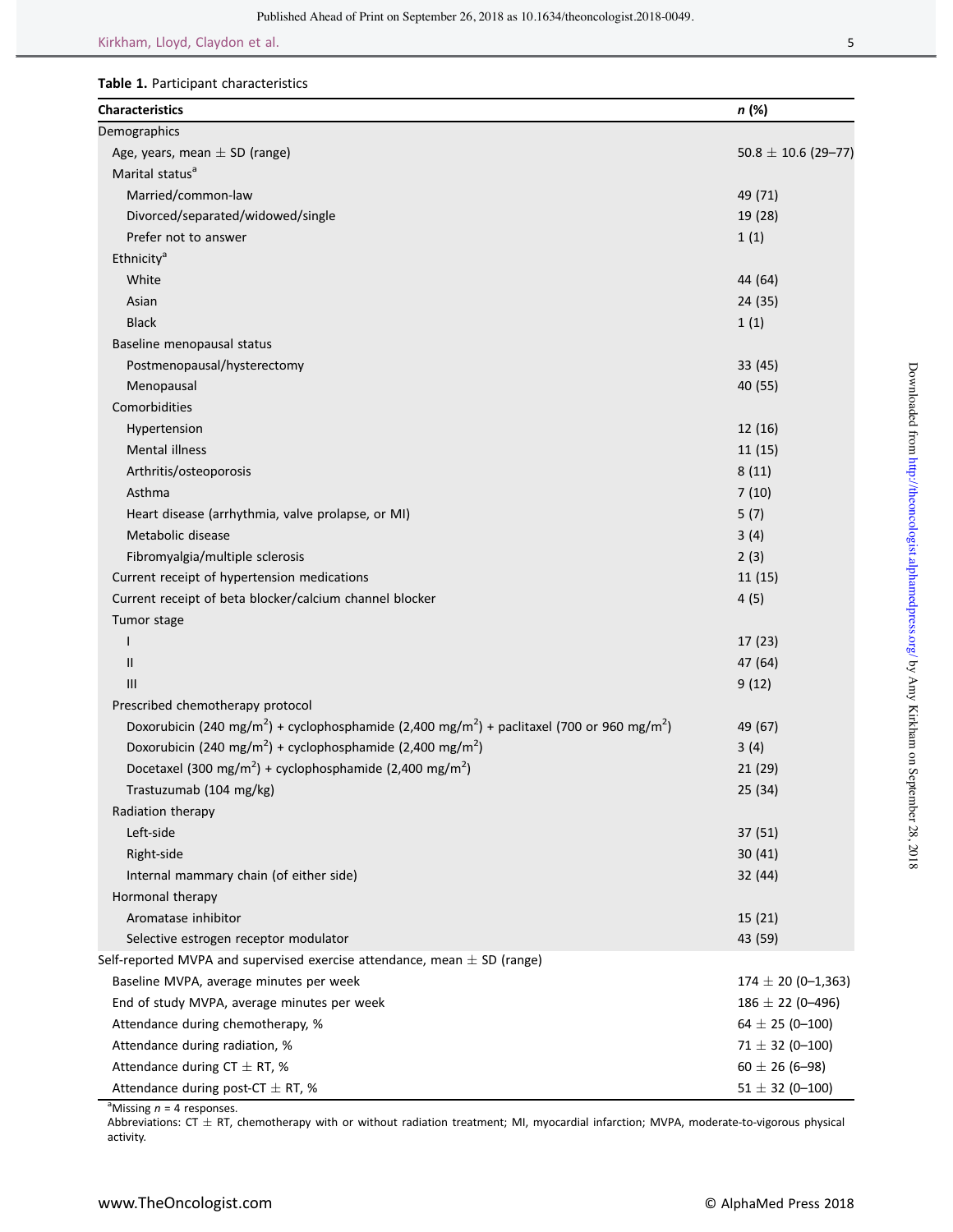# Table 1. Participant characteristics

| <b>Characteristics</b>                                                                                                          | n (%)                    |
|---------------------------------------------------------------------------------------------------------------------------------|--------------------------|
| Demographics                                                                                                                    |                          |
| Age, years, mean $\pm$ SD (range)                                                                                               | $50.8 \pm 10.6$ (29-77)  |
| Marital status <sup>a</sup>                                                                                                     |                          |
| Married/common-law                                                                                                              | 49 (71)                  |
| Divorced/separated/widowed/single                                                                                               | 19 (28)                  |
| Prefer not to answer                                                                                                            | 1(1)                     |
| Ethnicity <sup>a</sup>                                                                                                          |                          |
| White                                                                                                                           | 44 (64)                  |
| Asian                                                                                                                           | 24 (35)                  |
| <b>Black</b>                                                                                                                    | 1(1)                     |
| Baseline menopausal status                                                                                                      |                          |
| Postmenopausal/hysterectomy                                                                                                     | 33 (45)                  |
| Menopausal                                                                                                                      | 40 (55)                  |
| Comorbidities                                                                                                                   |                          |
| Hypertension                                                                                                                    | 12(16)                   |
| <b>Mental illness</b>                                                                                                           | 11(15)                   |
| Arthritis/osteoporosis                                                                                                          | 8(11)                    |
| Asthma                                                                                                                          | 7(10)                    |
| Heart disease (arrhythmia, valve prolapse, or MI)                                                                               | 5(7)                     |
| Metabolic disease                                                                                                               | 3(4)                     |
| Fibromyalgia/multiple sclerosis                                                                                                 | 2(3)                     |
| Current receipt of hypertension medications                                                                                     | 11(15)                   |
| Current receipt of beta blocker/calcium channel blocker                                                                         | 4(5)                     |
| Tumor stage                                                                                                                     |                          |
| I                                                                                                                               | 17(23)                   |
| Ш                                                                                                                               | 47 (64)                  |
| Ш                                                                                                                               | 9(12)                    |
| Prescribed chemotherapy protocol                                                                                                |                          |
| Doxorubicin (240 mg/m <sup>2</sup> ) + cyclophosphamide (2,400 mg/m <sup>2</sup> ) + paclitaxel (700 or 960 mg/m <sup>2</sup> ) | 49 (67)                  |
| Doxorubicin (240 mg/m <sup>2</sup> ) + cyclophosphamide (2,400 mg/m <sup>2</sup> )                                              | 3(4)                     |
| Docetaxel (300 mg/m <sup>2</sup> ) + cyclophosphamide (2,400 mg/m <sup>2</sup> )                                                | 21(29)                   |
| Trastuzumab (104 mg/kg)                                                                                                         | 25 (34)                  |
| Radiation therapy                                                                                                               |                          |
| Left-side                                                                                                                       | 37 (51)                  |
| Right-side                                                                                                                      | 30(41)                   |
| Internal mammary chain (of either side)                                                                                         | 32(44)                   |
| Hormonal therapy                                                                                                                |                          |
| Aromatase inhibitor                                                                                                             | 15(21)                   |
| Selective estrogen receptor modulator                                                                                           | 43 (59)                  |
| Self-reported MVPA and supervised exercise attendance, mean $\pm$ SD (range)                                                    |                          |
| Baseline MVPA, average minutes per week                                                                                         | $174 \pm 20 (0 - 1,363)$ |
| End of study MVPA, average minutes per week                                                                                     | $186 \pm 22 (0 - 496)$   |
| Attendance during chemotherapy, %                                                                                               | 64 $\pm$ 25 (0-100)      |
| Attendance during radiation, %                                                                                                  | $71 \pm 32 (0 - 100)$    |
| Attendance during $CT \pm RT$ , %                                                                                               | $60 \pm 26$ (6-98)       |
| Attendance during post-CT $\pm$ RT, %                                                                                           | $51 \pm 32$ (0-100)      |

<sup>a</sup>Missing  $n = 4$  responses.

Abbreviations:  $CT \pm RT$ , chemotherapy with or without radiation treatment; MI, myocardial infarction; MVPA, moderate-to-vigorous physical activity.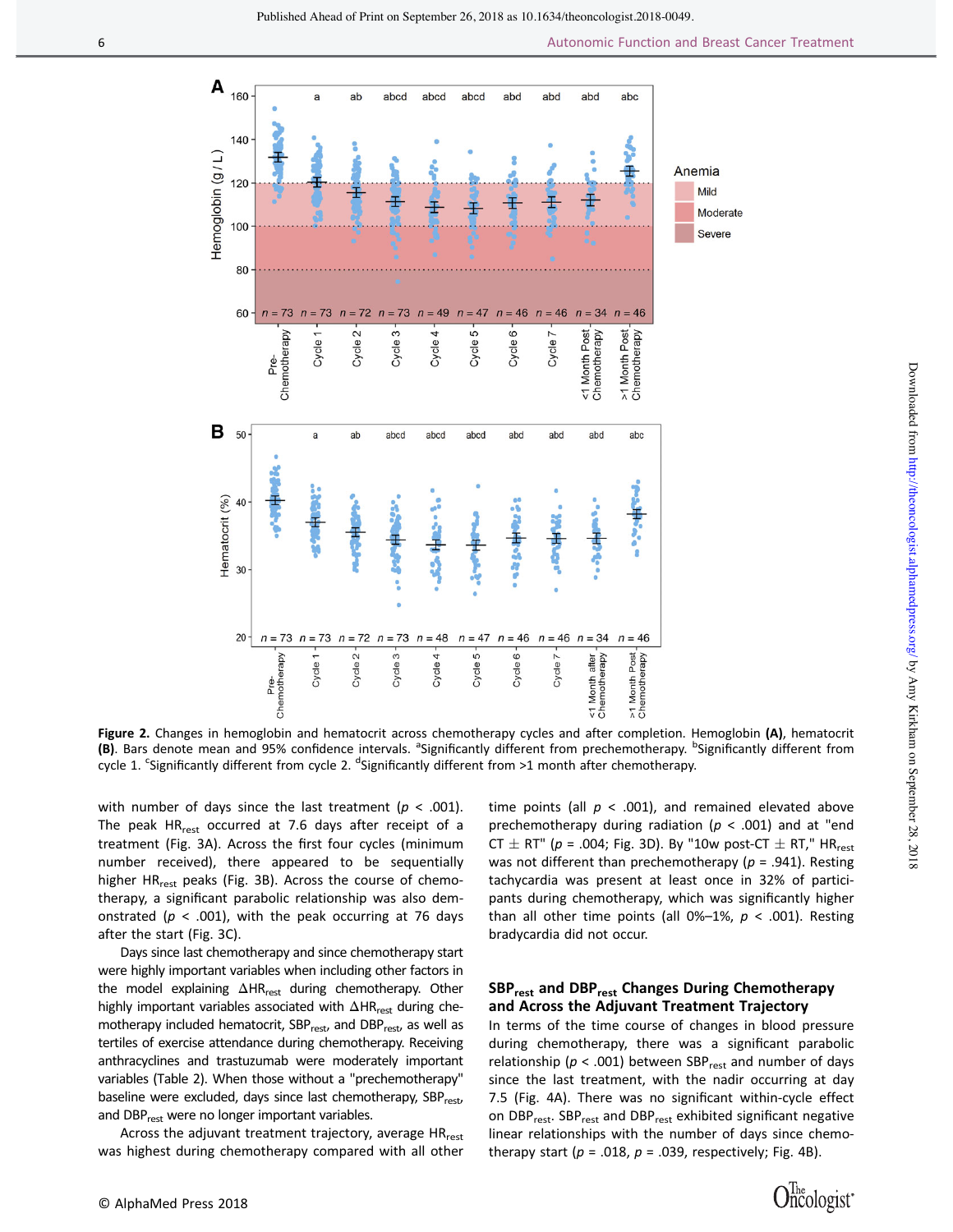

Figure 2. Changes in hemoglobin and hematocrit across chemotherapy cycles and after completion. Hemoglobin (A), hematocrit (B). Bars denote mean and 95% confidence intervals. <sup>a</sup>Significantly different from prechemotherapy. <sup>b</sup>Significantly different from . Yole 1. Significantly different from cycle 2. <sup>d</sup>Significantly different from >1 month after chemotherapy.

with number of days since the last treatment ( $p < .001$ ). The peak  $HR_{rest}$  occurred at 7.6 days after receipt of a treatment (Fig. 3A). Across the first four cycles (minimum number received), there appeared to be sequentially higher HR<sub>rest</sub> peaks (Fig. 3B). Across the course of chemotherapy, a significant parabolic relationship was also demonstrated ( $p < .001$ ), with the peak occurring at 76 days after the start (Fig. 3C).

Days since last chemotherapy and since chemotherapy start were highly important variables when including other factors in the model explaining  $\Delta H R_{rest}$  during chemotherapy. Other highly important variables associated with  $\Delta HR_{rest}$  during chemotherapy included hematocrit, SBP<sub>rest</sub>, and DBP<sub>rest</sub>, as well as tertiles of exercise attendance during chemotherapy. Receiving anthracyclines and trastuzumab were moderately important variables (Table 2). When those without a "prechemotherapy" baseline were excluded, days since last chemotherapy, SBP<sub>rest</sub>, and DBP<sub>rest</sub> were no longer important variables.

Across the adjuvant treatment trajectory, average HR<sub>rest</sub> was highest during chemotherapy compared with all other time points (all  $p < .001$ ), and remained elevated above prechemotherapy during radiation ( $p < .001$ ) and at "end CT  $\pm$  RT" (p = .004; Fig. 3D). By "10w post-CT  $\pm$  RT," HR<sub>rest</sub> was not different than prechemotherapy ( $p = .941$ ). Resting tachycardia was present at least once in 32% of participants during chemotherapy, which was significantly higher

# SBP<sub>rest</sub> and DBP<sub>rest</sub> Changes During Chemotherapy and Across the Adjuvant Treatment Trajectory

than all other time points (all  $0\%$ -1%,  $p < .001$ ). Resting

bradycardia did not occur.

In terms of the time course of changes in blood pressure during chemotherapy, there was a significant parabolic relationship ( $p < .001$ ) between SBP<sub>rest</sub> and number of days since the last treatment, with the nadir occurring at day 7.5 (Fig. 4A). There was no significant within-cycle effect on DBP<sub>rest</sub>. SBP<sub>rest</sub> and DBP<sub>rest</sub> exhibited significant negative linear relationships with the number of days since chemotherapy start ( $p = .018$ ,  $p = .039$ , respectively; Fig. 4B).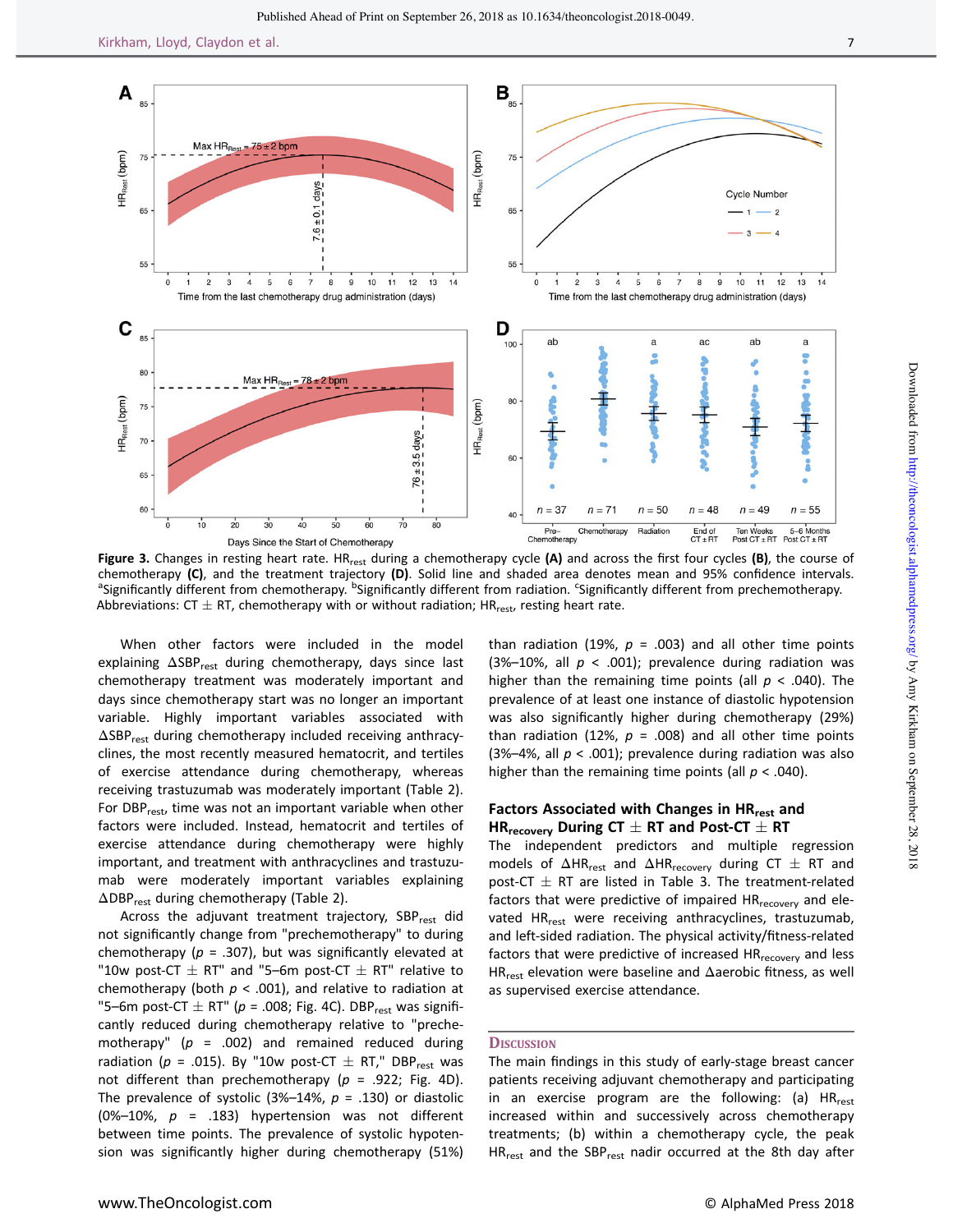

Figure 3. Changes in resting heart rate. HR<sub>rest</sub> during a chemotherapy cycle (A) and across the first four cycles (B), the course of chemotherapy (C), and the treatment trajectory (D). Solid line and shaded area denotes mean and 95% confidence intervals. Significantly different from chemotherapy. <sup>b</sup>Significantly different from radiation. Significantly different from prechemotherapy. Abbreviations: CT  $\pm$  RT, chemotherapy with or without radiation; HR $_{\rm rest}$ , resting heart rate.

When other factors were included in the model explaining  $ΔSBP_{rest}$  during chemotherapy, days since last chemotherapy treatment was moderately important and days since chemotherapy start was no longer an important variable. Highly important variables associated with ΔSBPrest during chemotherapy included receiving anthracyclines, the most recently measured hematocrit, and tertiles of exercise attendance during chemotherapy, whereas receiving trastuzumab was moderately important (Table 2). For DBP<sub>rest</sub>, time was not an important variable when other factors were included. Instead, hematocrit and tertiles of exercise attendance during chemotherapy were highly important, and treatment with anthracyclines and trastuzumab were moderately important variables explaining ΔDBPrest during chemotherapy (Table 2).

Across the adjuvant treatment trajectory, SBP<sub>rest</sub> did not significantly change from "prechemotherapy" to during chemotherapy ( $p = .307$ ), but was significantly elevated at "10w post-CT  $\pm$  RT" and "5–6m post-CT  $\pm$  RT" relative to chemotherapy (both  $p < .001$ ), and relative to radiation at "5–6m post-CT  $\pm$  RT" (p = .008; Fig. 4C). DBP<sub>rest</sub> was significantly reduced during chemotherapy relative to "prechemotherapy" ( $p = .002$ ) and remained reduced during radiation ( $p = .015$ ). By "10w post-CT  $\pm$  RT," DBP<sub>rest</sub> was not different than prechemotherapy ( $p = .922$ ; Fig. 4D). The prevalence of systolic (3%-14%,  $p = .130$ ) or diastolic (0%–10%,  $p = .183$ ) hypertension was not different between time points. The prevalence of systolic hypotension was significantly higher during chemotherapy (51%)

than radiation (19%,  $p = .003$ ) and all other time points (3%-10%, all  $p < .001$ ); prevalence during radiation was higher than the remaining time points (all  $p < .040$ ). The prevalence of at least one instance of diastolic hypotension was also significantly higher during chemotherapy (29%) than radiation (12%,  $p = .008$ ) and all other time points (3%–4%, all  $p < .001$ ); prevalence during radiation was also higher than the remaining time points (all  $p < .040$ ).

# Factors Associated with Changes in HR<sub>rest</sub> and HR<sub>recovery</sub> During CT  $\pm$  RT and Post-CT  $\pm$  RT

The independent predictors and multiple regression models of  $\Delta$ HR<sub>rest</sub> and  $\Delta$ HR<sub>recovery</sub> during CT  $\pm$  RT and post-CT  $\pm$  RT are listed in Table 3. The treatment-related factors that were predictive of impaired HR<sub>recovery</sub> and elevated HR<sub>rest</sub> were receiving anthracyclines, trastuzumab, and left-sided radiation. The physical activity/fitness-related factors that were predictive of increased HR<sub>recovery</sub> and less HR<sub>rest</sub> elevation were baseline and  $\Delta$ aerobic fitness, as well as supervised exercise attendance.

# **DISCUSSION**

The main findings in this study of early-stage breast cancer patients receiving adjuvant chemotherapy and participating in an exercise program are the following: (a)  $HR_{rest}$ increased within and successively across chemotherapy treatments; (b) within a chemotherapy cycle, the peak HR<sub>rest</sub> and the SBP<sub>rest</sub> nadir occurred at the 8th day after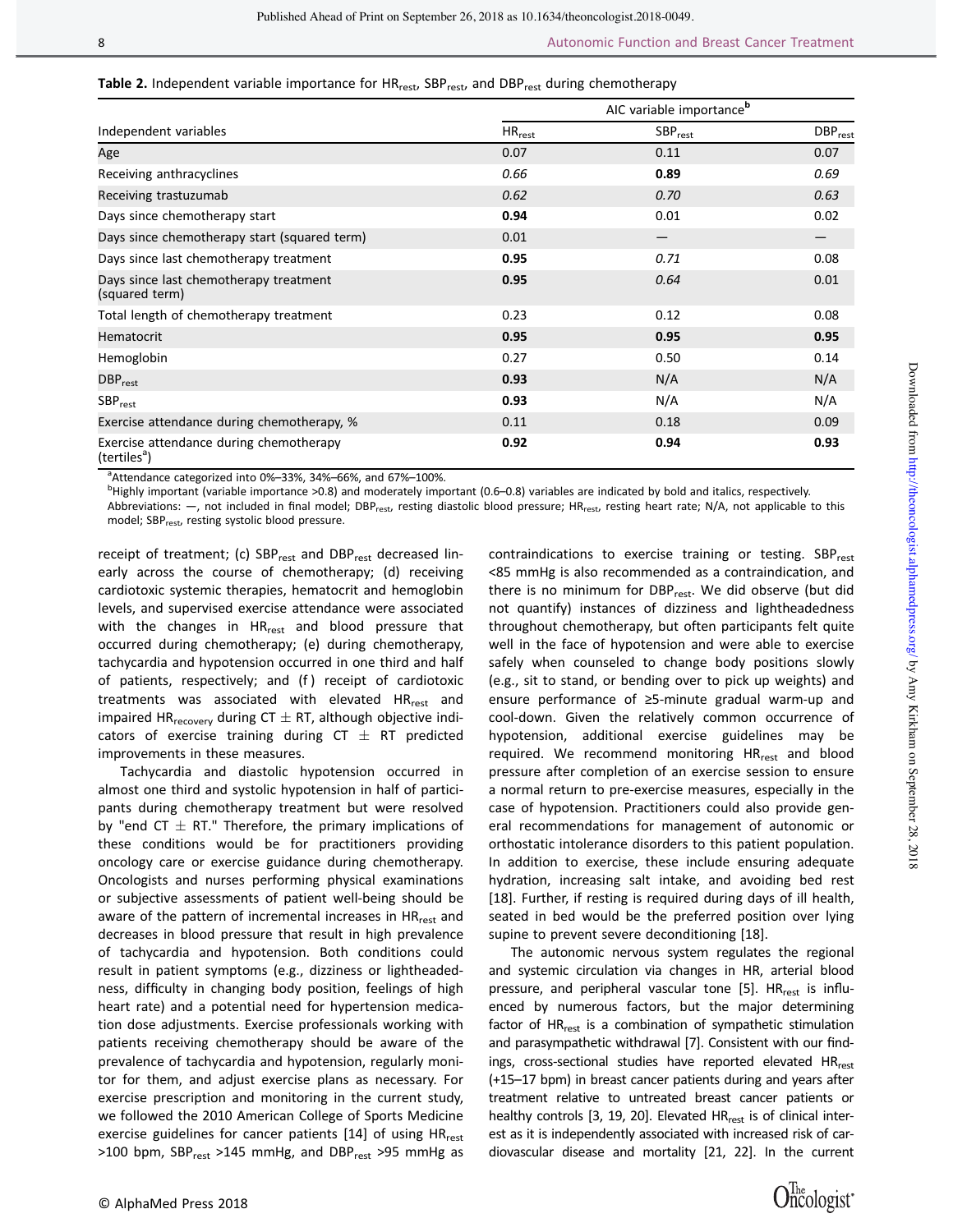| Table 2. Independent variable importance for HR <sub>rest</sub> , SBP <sub>rest</sub> , and DBP <sub>rest</sub> during chemotherapy |  |  |  |
|-------------------------------------------------------------------------------------------------------------------------------------|--|--|--|
|-------------------------------------------------------------------------------------------------------------------------------------|--|--|--|

| Independent variables                                               | AIC variable importance <sup>b</sup> |              |                            |  |
|---------------------------------------------------------------------|--------------------------------------|--------------|----------------------------|--|
|                                                                     | $\mathsf{HR}_{\mathsf{rest}}$        | $SBP_{rest}$ | <b>DBP</b> <sub>rest</sub> |  |
| Age                                                                 | 0.07                                 | 0.11         | 0.07                       |  |
| Receiving anthracyclines                                            | 0.66                                 | 0.89         | 0.69                       |  |
| Receiving trastuzumab                                               | 0.62                                 | 0.70         | 0.63                       |  |
| Days since chemotherapy start                                       | 0.94                                 | 0.01         | 0.02                       |  |
| Days since chemotherapy start (squared term)                        | 0.01                                 |              |                            |  |
| Days since last chemotherapy treatment                              | 0.95                                 | 0.71         | 0.08                       |  |
| Days since last chemotherapy treatment<br>(squared term)            | 0.95                                 | 0.64         | 0.01                       |  |
| Total length of chemotherapy treatment                              | 0.23                                 | 0.12         | 0.08                       |  |
| Hematocrit                                                          | 0.95                                 | 0.95         | 0.95                       |  |
| Hemoglobin                                                          | 0.27                                 | 0.50         | 0.14                       |  |
| $DBP_{rest}$                                                        | 0.93                                 | N/A          | N/A                        |  |
| $SBP_{rest}$                                                        | 0.93                                 | N/A          | N/A                        |  |
| Exercise attendance during chemotherapy, %                          | 0.11                                 | 0.18         | 0.09                       |  |
| Exercise attendance during chemotherapy<br>(tertiles <sup>a</sup> ) | 0.92                                 | 0.94         | 0.93                       |  |

<sup>a</sup> Attendance categorized into 0%–33%, 34%–66%, and 67%–100%.<br><sup>b</sup> Highly important (uzriable importance >0.8) and moderately import

<sup>b</sup>Highly important (variable importance >0.8) and moderately important (0.6–0.8) variables are indicated by bold and italics, respectively.

Abbreviations:  $-$ , not included in final model; DBP<sub>rest</sub>, resting diastolic blood pressure; HR<sub>rest</sub>, resting heart rate; N/A, not applicable to this model; SBP<sub>rest</sub>, resting systolic blood pressure.

receipt of treatment; (c) SBP<sub>rest</sub> and DBP<sub>rest</sub> decreased linearly across the course of chemotherapy; (d) receiving cardiotoxic systemic therapies, hematocrit and hemoglobin levels, and supervised exercise attendance were associated with the changes in HR<sub>rest</sub> and blood pressure that occurred during chemotherapy; (e) during chemotherapy, tachycardia and hypotension occurred in one third and half of patients, respectively; and (f ) receipt of cardiotoxic treatments was associated with elevated HR<sub>rest</sub> and impaired  $HR_{recovery}$  during CT  $\pm$  RT, although objective indicators of exercise training during  $CT \pm RT$  predicted improvements in these measures.

Tachycardia and diastolic hypotension occurred in almost one third and systolic hypotension in half of participants during chemotherapy treatment but were resolved by "end CT  $\pm$  RT." Therefore, the primary implications of these conditions would be for practitioners providing oncology care or exercise guidance during chemotherapy. Oncologists and nurses performing physical examinations or subjective assessments of patient well-being should be aware of the pattern of incremental increases in HR<sub>rest</sub> and decreases in blood pressure that result in high prevalence of tachycardia and hypotension. Both conditions could result in patient symptoms (e.g., dizziness or lightheadedness, difficulty in changing body position, feelings of high heart rate) and a potential need for hypertension medication dose adjustments. Exercise professionals working with patients receiving chemotherapy should be aware of the prevalence of tachycardia and hypotension, regularly monitor for them, and adjust exercise plans as necessary. For exercise prescription and monitoring in the current study, we followed the 2010 American College of Sports Medicine exercise guidelines for cancer patients [14] of using HR<sub>rest</sub> >100 bpm, SBP<sub>rest</sub> >145 mmHg, and DBP<sub>rest</sub> >95 mmHg as

contraindications to exercise training or testing.  $SBP_{rest}$ <85 mmHg is also recommended as a contraindication, and there is no minimum for DBP<sub>rest</sub>. We did observe (but did not quantify) instances of dizziness and lightheadedness throughout chemotherapy, but often participants felt quite well in the face of hypotension and were able to exercise safely when counseled to change body positions slowly (e.g., sit to stand, or bending over to pick up weights) and ensure performance of ≥5-minute gradual warm-up and cool-down. Given the relatively common occurrence of hypotension, additional exercise guidelines may be required. We recommend monitoring HR<sub>rest</sub> and blood pressure after completion of an exercise session to ensure a normal return to pre-exercise measures, especially in the case of hypotension. Practitioners could also provide general recommendations for management of autonomic or orthostatic intolerance disorders to this patient population. In addition to exercise, these include ensuring adequate hydration, increasing salt intake, and avoiding bed rest [18]. Further, if resting is required during days of ill health, seated in bed would be the preferred position over lying supine to prevent severe deconditioning [18].

The autonomic nervous system regulates the regional and systemic circulation via changes in HR, arterial blood pressure, and peripheral vascular tone [5]. HR<sub>rest</sub> is influenced by numerous factors, but the major determining factor of HR<sub>rest</sub> is a combination of sympathetic stimulation and parasympathetic withdrawal [7]. Consistent with our findings, cross-sectional studies have reported elevated HR<sub>rest</sub> (+15–17 bpm) in breast cancer patients during and years after treatment relative to untreated breast cancer patients or healthy controls  $[3, 19, 20]$ . Elevated HR $_{rest}$  is of clinical interest as it is independently associated with increased risk of cardiovascular disease and mortality [21, 22]. In the current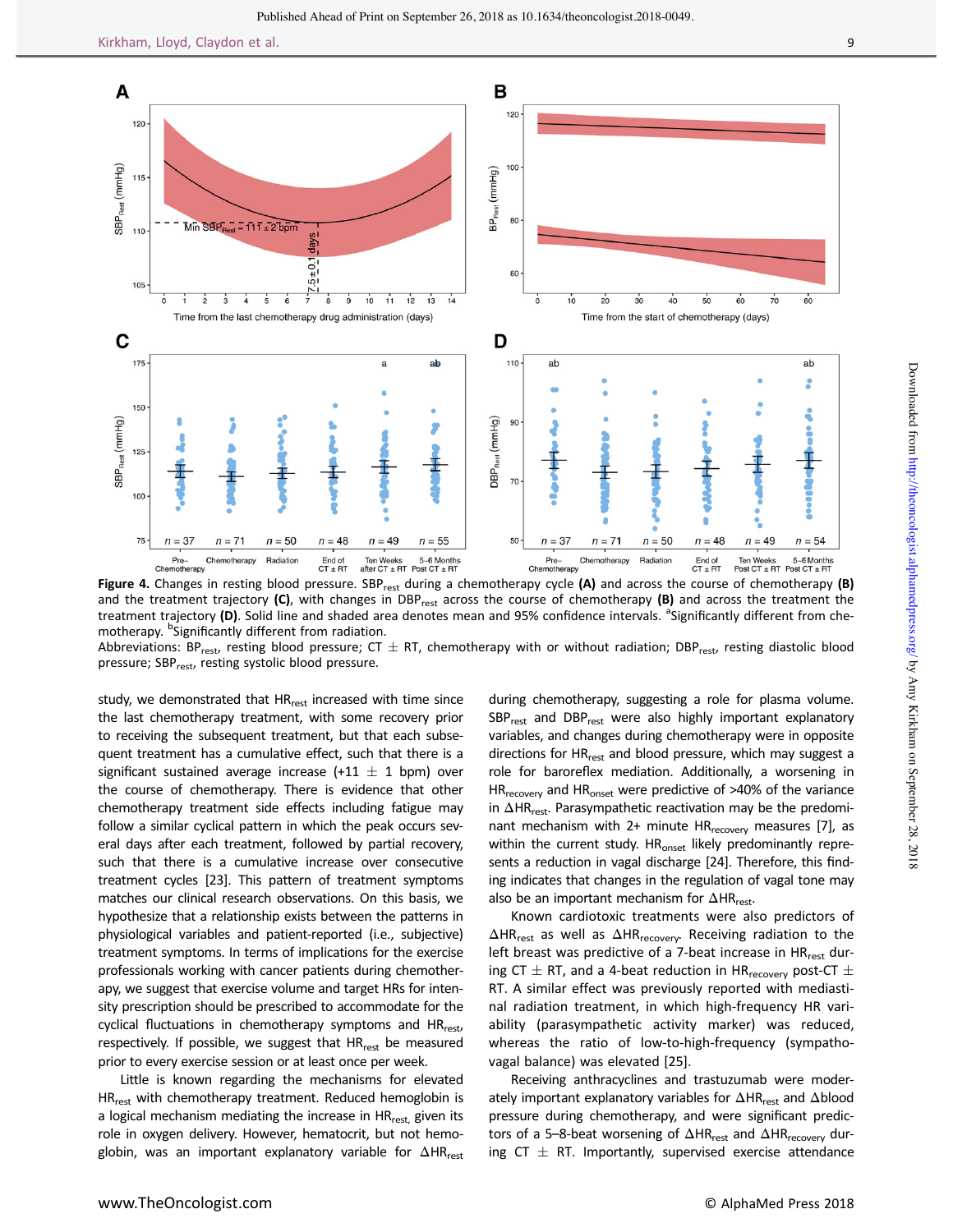

and the treatment trajectory  $(C)$ , with changes in DBP<sub>rest</sub> across the course of chemotherapy  $(B)$  and across the treatment the treatment trajectory (D). Solid line and shaded area denotes mean and 95% confidence intervals. <sup>a</sup>Significantly different from chemotherapy. <sup>b</sup>Significantly different from radiation.

Abbreviations: BP<sub>rest</sub>, resting blood pressure; CT  $\pm$  RT, chemotherapy with or without radiation; DBP<sub>rest</sub>, resting diastolic blood pressure; SBP<sub>rest</sub>, resting systolic blood pressure.

study, we demonstrated that HR<sub>rest</sub> increased with time since the last chemotherapy treatment, with some recovery prior to receiving the subsequent treatment, but that each subsequent treatment has a cumulative effect, such that there is a significant sustained average increase (+11  $\pm$  1 bpm) over the course of chemotherapy. There is evidence that other chemotherapy treatment side effects including fatigue may follow a similar cyclical pattern in which the peak occurs several days after each treatment, followed by partial recovery, such that there is a cumulative increase over consecutive treatment cycles [23]. This pattern of treatment symptoms matches our clinical research observations. On this basis, we hypothesize that a relationship exists between the patterns in physiological variables and patient-reported (i.e., subjective) treatment symptoms. In terms of implications for the exercise professionals working with cancer patients during chemotherapy, we suggest that exercise volume and target HRs for intensity prescription should be prescribed to accommodate for the cyclical fluctuations in chemotherapy symptoms and HR<sub>rest</sub>, respectively. If possible, we suggest that  $HR_{rest}$  be measured prior to every exercise session or at least once per week.

Little is known regarding the mechanisms for elevated HR<sub>rest</sub> with chemotherapy treatment. Reduced hemoglobin is a logical mechanism mediating the increase in HR<sub>rest</sub> given its role in oxygen delivery. However, hematocrit, but not hemoglobin, was an important explanatory variable for ΔHR<sub>rest</sub>

during chemotherapy, suggesting a role for plasma volume.  $SBP_{rest}$  and  $DBP_{rest}$  were also highly important explanatory variables, and changes during chemotherapy were in opposite directions for HR<sub>rest</sub> and blood pressure, which may suggest a role for baroreflex mediation. Additionally, a worsening in  $HR_{recovery}$  and  $HR_{onset}$  were predictive of  $>40\%$  of the variance in  $\Delta HR_{rest}$ . Parasympathetic reactivation may be the predominant mechanism with  $2+$  minute HR $_{\text{recovery}}$  measures [7], as within the current study. HR<sub>onset</sub> likely predominantly represents a reduction in vagal discharge [24]. Therefore, this finding indicates that changes in the regulation of vagal tone may also be an important mechanism for  $\Delta HR_{rest}$ .

Known cardiotoxic treatments were also predictors of  $\Delta$ HR<sub>rest</sub> as well as  $\Delta$ HR<sub>recovery</sub>. Receiving radiation to the left breast was predictive of a 7-beat increase in  $HR_{rest}$  during CT  $\pm$  RT, and a 4-beat reduction in HR<sub>recovery</sub> post-CT  $\pm$ RT. A similar effect was previously reported with mediastinal radiation treatment, in which high-frequency HR variability (parasympathetic activity marker) was reduced, whereas the ratio of low-to-high-frequency (sympathovagal balance) was elevated [25].

Receiving anthracyclines and trastuzumab were moderately important explanatory variables for ΔHR<sub>rest</sub> and Δblood pressure during chemotherapy, and were significant predictors of a 5-8-beat worsening of  $\Delta HR_{rest}$  and  $\Delta HR_{recovery}$  during CT  $\pm$  RT. Importantly, supervised exercise attendance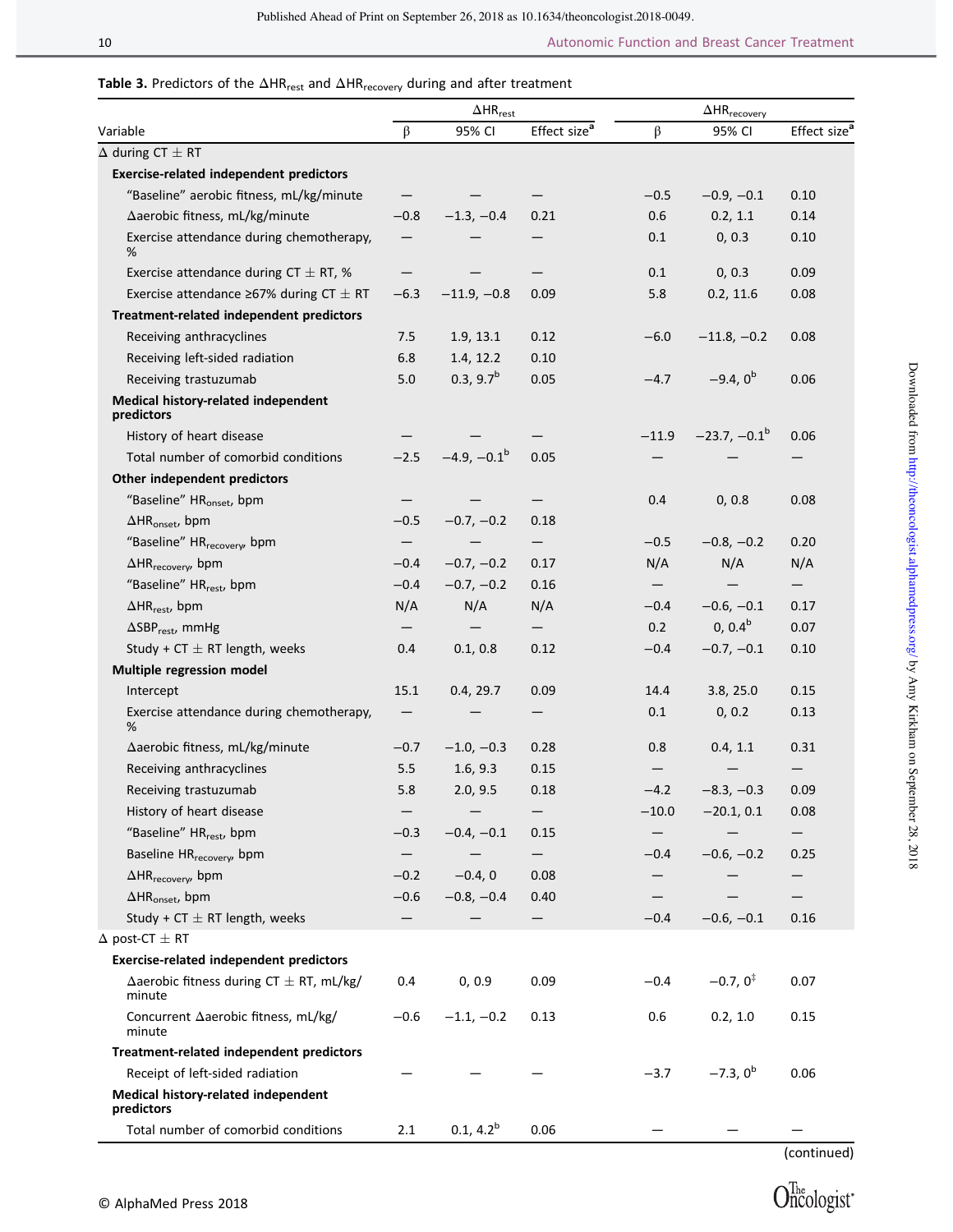# Table 3. Predictors of the  $\Delta HR_{rest}$  and  $\Delta HR_{recovery}$  during and after treatment

|                                                               | $\Delta$ HR <sub>rest</sub> |                       | $\Delta \text{HR}_\text{recovery}$ |                   |                      |                          |
|---------------------------------------------------------------|-----------------------------|-----------------------|------------------------------------|-------------------|----------------------|--------------------------|
| Variable                                                      | β                           | 95% CI                | Effect size <sup>a</sup>           | $\beta$           | 95% CI               | Effect size <sup>a</sup> |
| $\Delta$ during CT $\pm$ RT                                   |                             |                       |                                    |                   |                      |                          |
| <b>Exercise-related independent predictors</b>                |                             |                       |                                    |                   |                      |                          |
| "Baseline" aerobic fitness, mL/kg/minute                      |                             |                       |                                    | $-0.5$            | $-0.9, -0.1$         | 0.10                     |
| Aaerobic fitness, mL/kg/minute                                | $-0.8$                      | $-1.3, -0.4$          | 0.21                               | 0.6               | 0.2, 1.1             | 0.14                     |
| Exercise attendance during chemotherapy,<br>%                 |                             |                       |                                    | 0.1               | 0, 0.3               | 0.10                     |
| Exercise attendance during CT $\pm$ RT, %                     |                             |                       |                                    | 0.1               | 0, 0.3               | 0.09                     |
| Exercise attendance $\geq$ 67% during CT $\pm$ RT             | $-6.3$                      | $-11.9, -0.8$         | 0.09                               | 5.8               | 0.2, 11.6            | 0.08                     |
| Treatment-related independent predictors                      |                             |                       |                                    |                   |                      |                          |
| Receiving anthracyclines                                      | 7.5                         | 1.9, 13.1             | 0.12                               | $-6.0$            | $-11.8, -0.2$        | 0.08                     |
| Receiving left-sided radiation                                | 6.8                         | 1.4, 12.2             | 0.10                               |                   |                      |                          |
| Receiving trastuzumab                                         | 5.0                         | 0.3, 9.7 <sup>b</sup> | 0.05                               | $-4.7$            | $-9.4, 0^b$          | 0.06                     |
| Medical history-related independent<br>predictors             |                             |                       |                                    |                   |                      |                          |
| History of heart disease                                      |                             |                       |                                    | $-11.9$           | $-23.7, -0.1^b$      | 0.06                     |
| Total number of comorbid conditions                           | $-2.5$                      | $-4.9, -0.1^b$        | 0.05                               |                   |                      |                          |
| Other independent predictors                                  |                             |                       |                                    |                   |                      |                          |
| "Baseline" HR <sub>onset</sub> , bpm                          |                             |                       |                                    | 0.4               | 0, 0.8               | 0.08                     |
| $\Delta HR_{onset}$ , bpm                                     | $-0.5$                      | $-0.7, -0.2$          | 0.18                               |                   |                      |                          |
| "Baseline" HR <sub>recovery</sub> , bpm                       | —                           |                       | $\qquad \qquad -$                  | $-0.5$            | $-0.8, -0.2$         | 0.20                     |
| $\Delta$ HR <sub>recovery</sub> , bpm                         | $-0.4$                      | $-0.7, -0.2$          | 0.17                               | N/A               | N/A                  | N/A                      |
| "Baseline" HR <sub>rest</sub> , bpm                           | $-0.4$                      | $-0.7, -0.2$          | 0.16                               | $\qquad \qquad -$ |                      | —                        |
| $\Delta$ HR <sub>rest</sub> , bpm                             | N/A                         | N/A                   | N/A                                | $-0.4$            | $-0.6, -0.1$         | 0.17                     |
| $\Delta$ SBP <sub>rest</sub> , mmHg                           |                             |                       |                                    | 0.2               | $0, 0.4^b$           | 0.07                     |
| Study + CT $\pm$ RT length, weeks                             | 0.4                         | 0.1, 0.8              | 0.12                               | $-0.4$            | $-0.7, -0.1$         | 0.10                     |
| Multiple regression model                                     |                             |                       |                                    |                   |                      |                          |
| Intercept                                                     | 15.1                        | 0.4, 29.7             | 0.09                               | 14.4              | 3.8, 25.0            | 0.15                     |
| Exercise attendance during chemotherapy,<br>%                 |                             |                       |                                    | 0.1               | 0, 0.2               | 0.13                     |
| ∆aerobic fitness, mL/kg/minute                                | $-0.7$                      | $-1.0, -0.3$          | 0.28                               | 0.8               | 0.4, 1.1             | 0.31                     |
| Receiving anthracyclines                                      | 5.5                         | 1.6, 9.3              | 0.15                               |                   |                      |                          |
| Receiving trastuzumab                                         | 5.8                         | 2.0, 9.5              | 0.18                               | $-4.2$            | $-8.3, -0.3$         | 0.09                     |
| History of heart disease                                      |                             |                       |                                    | $-10.0$           | $-20.1, 0.1$         | 0.08                     |
| "Baseline" HR <sub>rest</sub> , bpm                           | $-0.3$                      | $-0.4, -0.1$          | 0.15                               |                   |                      |                          |
| Baseline HR <sub>recovery</sub> , bpm                         |                             |                       | $\qquad \qquad -$                  | $-0.4$            | $-0.6, -0.2$         | 0.25                     |
| $\Delta$ HR <sub>recovery</sub> , bpm                         | $-0.2$                      | $-0.4, 0$             | 0.08                               |                   |                      |                          |
| $\Delta HR_{onset}$ , bpm                                     | $-0.6$                      | $-0.8, -0.4$          | 0.40                               |                   |                      |                          |
| Study + CT $\pm$ RT length, weeks                             |                             |                       |                                    | $-0.4$            | $-0.6, -0.1$         | 0.16                     |
| $\Delta$ post-CT $\pm$ RT                                     |                             |                       |                                    |                   |                      |                          |
| <b>Exercise-related independent predictors</b>                |                             |                       |                                    |                   |                      |                          |
| $\Delta$ aerobic fitness during CT $\pm$ RT, mL/kg/<br>minute | 0.4                         | 0, 0.9                | 0.09                               | $-0.4$            | $-0.7, 0^{\ddagger}$ | 0.07                     |
| Concurrent ∆aerobic fitness, mL/kg/<br>minute                 | $-0.6$                      | $-1.1, -0.2$          | 0.13                               | 0.6               | 0.2, 1.0             | 0.15                     |
| Treatment-related independent predictors                      |                             |                       |                                    |                   |                      |                          |
| Receipt of left-sided radiation                               |                             |                       |                                    | $-3.7$            | $-7.3, 0^b$          | 0.06                     |
| Medical history-related independent<br>predictors             |                             |                       |                                    |                   |                      |                          |
| Total number of comorbid conditions                           | 2.1                         | $0.1, 4.2^b$          | 0.06                               |                   |                      |                          |

(continued)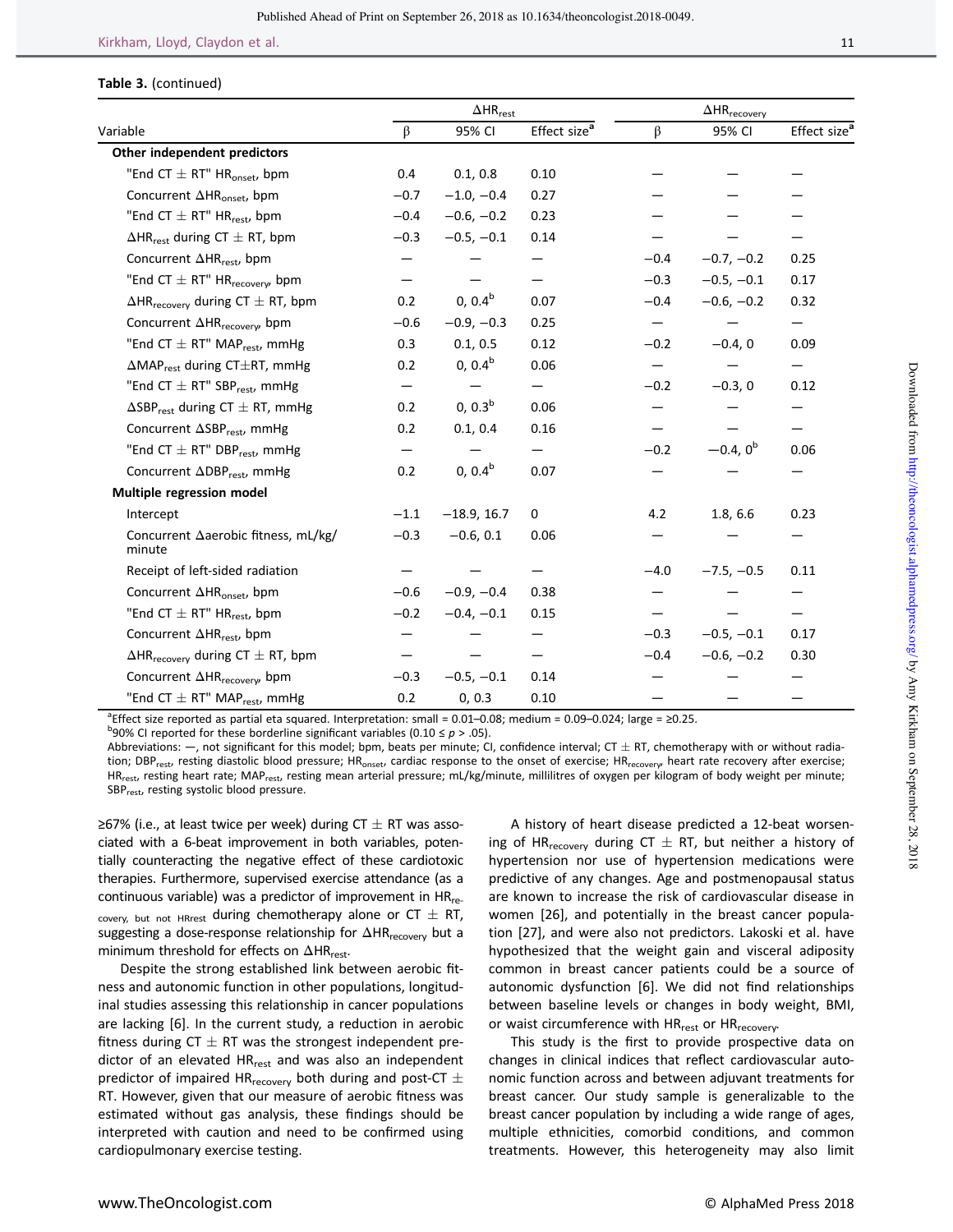#### Table 3. (continued)

|                                                         |        | $\Delta \mathsf{HR}_{\mathsf{rest}}$ |                          |         |              |                          |
|---------------------------------------------------------|--------|--------------------------------------|--------------------------|---------|--------------|--------------------------|
| Variable                                                | β      | 95% CI                               | Effect size <sup>a</sup> | $\beta$ | 95% CI       | Effect size <sup>a</sup> |
| Other independent predictors                            |        |                                      |                          |         |              |                          |
| "End CT $\pm$ RT" HR <sub>onset</sub> , bpm             | 0.4    | 0.1, 0.8                             | 0.10                     |         |              |                          |
| Concurrent $\Delta HR_{\text{onset}}$ , bpm             | $-0.7$ | $-1.0, -0.4$                         | 0.27                     |         |              |                          |
| "End CT $\pm$ RT" HR <sub>rest</sub> , bpm              | $-0.4$ | $-0.6, -0.2$                         | 0.23                     |         |              |                          |
| $\Delta$ HR <sub>rest</sub> during CT $\pm$ RT, bpm     | $-0.3$ | $-0.5, -0.1$                         | 0.14                     |         |              |                          |
| Concurrent $\Delta HR_{rest}$ , bpm                     |        |                                      |                          | $-0.4$  | $-0.7, -0.2$ | 0.25                     |
| "End CT $\pm$ RT" HR <sub>recovery</sub> , bpm          |        |                                      |                          | $-0.3$  | $-0.5, -0.1$ | 0.17                     |
| $\Delta$ HR <sub>recovery</sub> during CT $\pm$ RT, bpm | 0.2    | $0, 0.4^b$                           | 0.07                     | $-0.4$  | $-0.6, -0.2$ | 0.32                     |
| Concurrent $\Delta HR_{\text{recovery}}$ bpm            | $-0.6$ | $-0.9, -0.3$                         | 0.25                     |         |              |                          |
| "End CT $\pm$ RT" MAP <sub>rest</sub> , mmHg            | 0.3    | 0.1, 0.5                             | 0.12                     | $-0.2$  | $-0.4, 0$    | 0.09                     |
| $\Delta \text{MAP}_{rest}$ during CT $\pm$ RT, mmHg     | 0.2    | $0, 0.4^b$                           | 0.06                     |         |              |                          |
| "End CT $\pm$ RT" SBP $_{rest}$ , mmHg                  |        |                                      |                          | $-0.2$  | $-0.3, 0$    | 0.12                     |
| $\Delta$ SBP <sub>rest</sub> during CT $\pm$ RT, mmHg   | 0.2    | 0, 0.3 <sup>b</sup>                  | 0.06                     |         |              |                          |
| Concurrent $\Delta SBP_{rest}$ , mmHg                   | 0.2    | 0.1, 0.4                             | 0.16                     |         |              |                          |
| "End CT $\pm$ RT" DBP <sub>rest</sub> , mmHg            |        |                                      |                          | $-0.2$  | $-0.4, 0^b$  | 0.06                     |
| Concurrent $\Delta$ DBP <sub>rest</sub> , mmHg          | 0.2    | $0, 0.4^b$                           | 0.07                     |         |              |                          |
| Multiple regression model                               |        |                                      |                          |         |              |                          |
| Intercept                                               | $-1.1$ | $-18.9, 16.7$                        | 0                        | 4.2     | 1.8, 6.6     | 0.23                     |
| Concurrent Aaerobic fitness, mL/kg/<br>minute           | $-0.3$ | $-0.6, 0.1$                          | 0.06                     |         |              |                          |
| Receipt of left-sided radiation                         |        |                                      |                          | $-4.0$  | $-7.5, -0.5$ | 0.11                     |
| Concurrent $\Delta HR_{\text{onset}}$ , bpm             | $-0.6$ | $-0.9, -0.4$                         | 0.38                     |         |              |                          |
| "End CT $\pm$ RT" HR <sub>rest</sub> , bpm              | $-0.2$ | $-0.4, -0.1$                         | 0.15                     |         |              |                          |
| Concurrent ∆HR <sub>rest</sub> , bpm                    |        |                                      |                          | $-0.3$  | $-0.5, -0.1$ | 0.17                     |
| $\Delta$ HR <sub>recoverv</sub> during CT $\pm$ RT, bpm |        |                                      |                          | $-0.4$  | $-0.6, -0.2$ | 0.30                     |
| Concurrent $\Delta HR_{\text{recovery}}$ bpm            | $-0.3$ | $-0.5, -0.1$                         | 0.14                     |         |              |                          |
| "End CT $\pm$ RT" MAP <sub>rest</sub> , mmHg            | 0.2    | 0, 0.3                               | 0.10                     |         |              |                          |

<sup>a</sup>Effect size reported as partial eta squared. Interpretation: small = 0.01–0.08; medium = 0.09–0.024; large = ≥0.25.<br><sup>boog</sup> CL reported for these berderline significant uariables (0.10 ≤ n > 05).

<sup>b</sup>90% CI reported for these borderline significant variables (0.10 ≤  $p$  > .05).

Abbreviations:  $-$ , not significant for this model; bpm, beats per minute; CI, confidence interval; CT  $\pm$  RT, chemotherapy with or without radiation; DBP<sub>rest</sub>, resting diastolic blood pressure; HR<sub>onset</sub>, cardiac response to the onset of exercise; HR<sub>recovery</sub>, heart rate recovery after exercise; HR<sub>rest</sub>, resting heart rate; MAP<sub>rest</sub>, resting mean arterial pressure; mL/kg/minute, millilitres of oxygen per kilogram of body weight per minute; SBP<sub>rest</sub>, resting systolic blood pressure.

≥67% (i.e., at least twice per week) during CT  $\pm$  RT was associated with a 6-beat improvement in both variables, potentially counteracting the negative effect of these cardiotoxic therapies. Furthermore, supervised exercise attendance (as a continuous variable) was a predictor of improvement in  $HR_{re}$ . covery, but not HRrest during chemotherapy alone or  $CT \pm RT$ , suggesting a dose-response relationship for ΔHR<sub>recovery</sub> but a minimum threshold for effects on  $\Delta HR_{rest}$ .

Despite the strong established link between aerobic fitness and autonomic function in other populations, longitudinal studies assessing this relationship in cancer populations are lacking [6]. In the current study, a reduction in aerobic fitness during CT  $\pm$  RT was the strongest independent predictor of an elevated HR<sub>rest</sub> and was also an independent predictor of impaired HR $_{\text{recovery}}$  both during and post-CT  $\pm$ RT. However, given that our measure of aerobic fitness was estimated without gas analysis, these findings should be interpreted with caution and need to be confirmed using cardiopulmonary exercise testing.

A history of heart disease predicted a 12-beat worsening of HR<sub>recovery</sub> during CT  $\pm$  RT, but neither a history of hypertension nor use of hypertension medications were predictive of any changes. Age and postmenopausal status are known to increase the risk of cardiovascular disease in women [26], and potentially in the breast cancer population [27], and were also not predictors. Lakoski et al. have hypothesized that the weight gain and visceral adiposity common in breast cancer patients could be a source of autonomic dysfunction [6]. We did not find relationships between baseline levels or changes in body weight, BMI, or waist circumference with HR<sub>rest</sub> or HR<sub>recovery</sub>.

This study is the first to provide prospective data on changes in clinical indices that reflect cardiovascular autonomic function across and between adjuvant treatments for breast cancer. Our study sample is generalizable to the breast cancer population by including a wide range of ages, multiple ethnicities, comorbid conditions, and common treatments. However, this heterogeneity may also limit